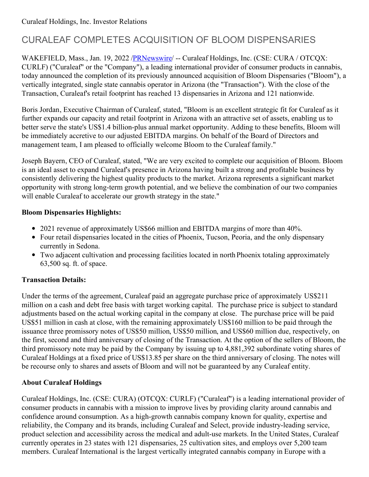# CURALEAF COMPLETES ACQUISITION OF BLOOM DISPENSARIES

WAKEFIELD, Mass., Jan. 19, 2022 /**PRNewswire/ --** Curaleaf Holdings, Inc. (CSE: CURA / OTCQX: CURLF) ("Curaleaf" or the "Company"), a leading international provider of consumer products in cannabis, today announced the completion of its previously announced acquisition of Bloom Dispensaries ("Bloom"), a vertically integrated, single state cannabis operator in Arizona (the "Transaction"). With the close of the Transaction, Curaleaf's retail footprint has reached 13 dispensaries in Arizona and 121 nationwide.

Boris Jordan, Executive Chairman of Curaleaf, stated, "Bloom is an excellent strategic fit for Curaleaf as it further expands our capacity and retail footprint in Arizona with an attractive set of assets, enabling us to better serve the state's US\$1.4 billion-plus annual market opportunity. Adding to these benefits, Bloom will be immediately accretive to our adjusted EBITDA margins. On behalf of the Board of Directors and management team, I am pleased to officially welcome Bloom to the Curaleaf family."

Joseph Bayern, CEO of Curaleaf, stated, "We are very excited to complete our acquisition of Bloom. Bloom is an ideal asset to expand Curaleaf's presence in Arizona having built a strong and profitable business by consistently delivering the highest quality products to the market. Arizona represents a significant market opportunity with strong long-term growth potential, and we believe the combination of our two companies will enable Curaleaf to accelerate our growth strategy in the state."

#### **Bloom Dispensaries Highlights:**

- 2021 revenue of approximately US\$66 million and EBITDA margins of more than 40%.
- Four retail dispensaries located in the cities of Phoenix, Tucson, Peoria, and the only dispensary currently in Sedona.
- Two adjacent cultivation and processing facilities located in north Phoenix totaling approximately 63,500 sq. ft. of space.

## **Transaction Details:**

Under the terms of the agreement, Curaleaf paid an aggregate purchase price of approximately US\$211 million on a cash and debt free basis with target working capital. The purchase price is subject to standard adjustments based on the actual working capital in the company at close. The purchase price will be paid US\$51 million in cash at close, with the remaining approximately US\$160 million to be paid through the issuance three promissory notes of US\$50 million, US\$50 million, and US\$60 million due, respectively, on the first, second and third anniversary of closing of the Transaction. At the option of the sellers of Bloom, the third promissory note may be paid by the Company by issuing up to 4,881,392 subordinate voting shares of Curaleaf Holdings at a fixed price of US\$13.85 per share on the third anniversary of closing. The notes will be recourse only to shares and assets of Bloom and will not be guaranteed by any Curaleaf entity.

## **About Curaleaf Holdings**

Curaleaf Holdings, Inc. (CSE: CURA) (OTCQX: CURLF) ("Curaleaf") is a leading international provider of consumer products in cannabis with a mission to improve lives by providing clarity around cannabis and confidence around consumption. As a high-growth cannabis company known for quality, expertise and reliability, the Company and its brands, including Curaleaf and Select, provide industry-leading service, product selection and accessibility across the medical and adult-use markets. In the United States, Curaleaf currently operates in 23 states with 121 dispensaries, 25 cultivation sites, and employs over 5,200 team members. Curaleaf International is the largest vertically integrated cannabis company in Europe with a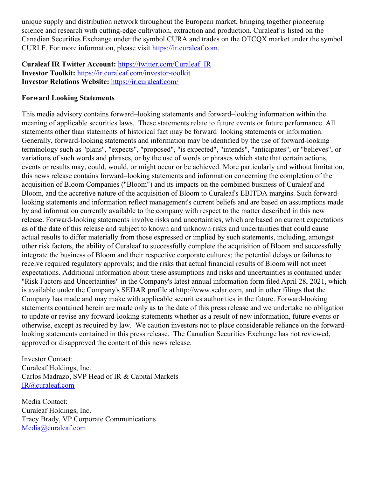unique supply and distribution network throughout the European market, bringing together pioneering science and research with cutting-edge cultivation, extraction and production. Curaleaf is listed on the Canadian Securities Exchange under the symbol CURA and trades on the OTCQX market under the symbol CURLF. For more information, please visit <https://ir.curaleaf.com>.

**Curaleaf IR Twitter Account:** [https://twitter.com/Curaleaf\\_IR](https://c212.net/c/link/?t=0&l=en&o=3417515-1&h=1633778920&u=https%3A%2F%2Ftwitter.com%2FCuraleaf_IR&a=https%3A%2F%2Ftwitter.com%2FCuraleaf_IR) **Investor Toolkit:** [https://ir.curaleaf.com/investor-toolkit](https://c212.net/c/link/?t=0&l=en&o=3417515-1&h=2686012906&u=https%3A%2F%2Fir.curaleaf.com%2Finvestor-toolkit&a=https%3A%2F%2Fir.curaleaf.com%2Finvestor-toolkit) **Investor Relations Website:** [https://ir.curaleaf.com/](https://c212.net/c/link/?t=0&l=en&o=3417515-1&h=3557292152&u=https%3A%2F%2Fir.curaleaf.com%2F&a=https%3A%2F%2Fir.curaleaf.com%2F)

#### **Forward Looking Statements**

This media advisory contains forward–looking statements and forward–looking information within the meaning of applicable securities laws. These statements relate to future events or future performance. All statements other than statements of historical fact may be forward–looking statements or information. Generally, forward-looking statements and information may be identified by the use of forward-looking terminology such as "plans", "expects", "proposed", "is expected", "intends", "anticipates", or "believes", or variations of such words and phrases, or by the use of words or phrases which state that certain actions, events or results may, could, would, or might occur or be achieved. More particularly and without limitation, this news release contains forward–looking statements and information concerning the completion of the acquisition of Bloom Companies ("Bloom") and its impacts on the combined business of Curaleaf and Bloom, and the accretive nature of the acquisition of Bloom to Curaleaf's EBITDA margins. Such forwardlooking statements and information reflect management's current beliefs and are based on assumptions made by and information currently available to the company with respect to the matter described in this new release. Forward-looking statements involve risks and uncertainties, which are based on current expectations as of the date of this release and subject to known and unknown risks and uncertainties that could cause actual results to differ materially from those expressed or implied by such statements, including, amongst other risk factors, the ability of Curaleaf to successfully complete the acquisition of Bloom and successfully integrate the business of Bloom and their respective corporate cultures; the potential delays or failures to receive required regulatory approvals; and the risks that actual financial results of Bloom will not meet expectations. Additional information about these assumptions and risks and uncertainties is contained under "Risk Factors and Uncertainties" in the Company's latest annual information form filed April 28, 2021, which is available under the Company's SEDAR profile at http://www.sedar.com, and in other filings that the Company has made and may make with applicable securities authorities in the future. Forward-looking statements contained herein are made only as to the date of this press release and we undertake no obligation to update or revise any forward-looking statements whether as a result of new information, future events or otherwise, except as required by law. We caution investors not to place considerable reliance on the forwardlooking statements contained in this press release. The Canadian Securities Exchange has not reviewed, approved or disapproved the content of this news release.

Investor Contact: Curaleaf Holdings, Inc. Carlos Madrazo, SVP Head of IR & Capital Markets [IR@curaleaf.com](mailto:IR@curaleaf.com)

Media Contact: Curaleaf Holdings, Inc. Tracy Brady, VP Corporate Communications [Media@curaleaf.com](mailto:Media@curaleaf.com)